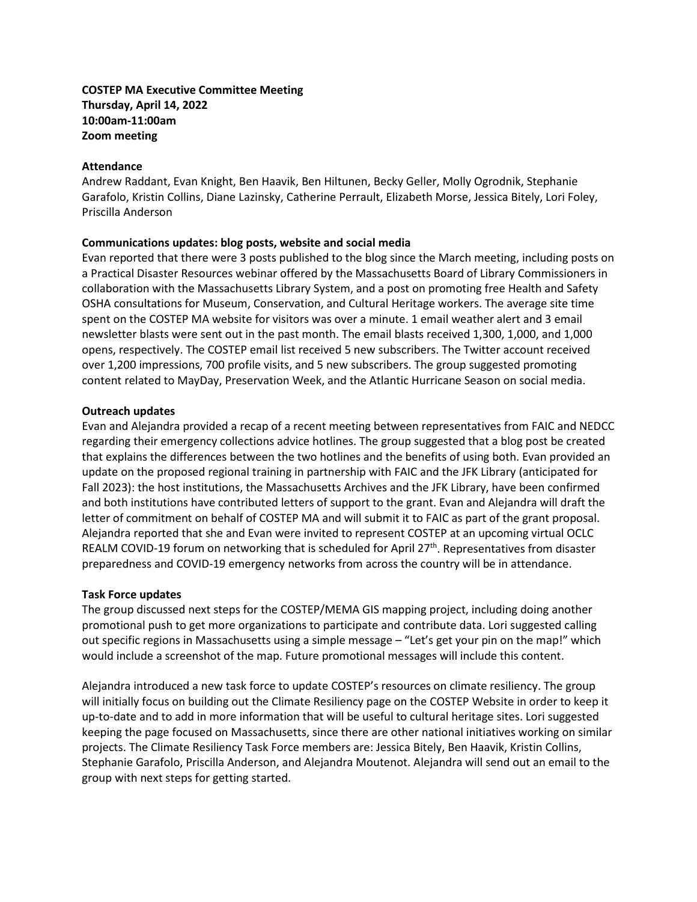# **COSTEP MA Executive Committee Meeting Thursday, April 14, 2022 10:00am-11:00am Zoom meeting**

#### **Attendance**

Andrew Raddant, Evan Knight, Ben Haavik, Ben Hiltunen, Becky Geller, Molly Ogrodnik, Stephanie Garafolo, Kristin Collins, Diane Lazinsky, Catherine Perrault, Elizabeth Morse, Jessica Bitely, Lori Foley, Priscilla Anderson

## **Communications updates: blog posts, website and social media**

Evan reported that there were 3 posts published to the blog since the March meeting, including posts on a Practical Disaster Resources webinar offered by the Massachusetts Board of Library Commissioners in collaboration with the Massachusetts Library System, and a post on promoting free Health and Safety OSHA consultations for Museum, Conservation, and Cultural Heritage workers. The average site time spent on the COSTEP MA website for visitors was over a minute. 1 email weather alert and 3 email newsletter blasts were sent out in the past month. The email blasts received 1,300, 1,000, and 1,000 opens, respectively. The COSTEP email list received 5 new subscribers. The Twitter account received over 1,200 impressions, 700 profile visits, and 5 new subscribers. The group suggested promoting content related to MayDay, Preservation Week, and the Atlantic Hurricane Season on social media.

## **Outreach updates**

Evan and Alejandra provided a recap of a recent meeting between representatives from FAIC and NEDCC regarding their emergency collections advice hotlines. The group suggested that a blog post be created that explains the differences between the two hotlines and the benefits of using both. Evan provided an update on the proposed regional training in partnership with FAIC and the JFK Library (anticipated for Fall 2023): the host institutions, the Massachusetts Archives and the JFK Library, have been confirmed and both institutions have contributed letters of support to the grant. Evan and Alejandra will draft the letter of commitment on behalf of COSTEP MA and will submit it to FAIC as part of the grant proposal. Alejandra reported that she and Evan were invited to represent COSTEP at an upcoming virtual OCLC REALM COVID-19 forum on networking that is scheduled for April 27<sup>th</sup>. Representatives from disaster preparedness and COVID-19 emergency networks from across the country will be in attendance.

#### **Task Force updates**

The group discussed next steps for the COSTEP/MEMA GIS mapping project, including doing another promotional push to get more organizations to participate and contribute data. Lori suggested calling out specific regions in Massachusetts using a simple message – "Let's get your pin on the map!" which would include a screenshot of the map. Future promotional messages will include this content.

Alejandra introduced a new task force to update COSTEP's resources on climate resiliency. The group will initially focus on building out the Climate Resiliency page on the COSTEP Website in order to keep it up-to-date and to add in more information that will be useful to cultural heritage sites. Lori suggested keeping the page focused on Massachusetts, since there are other national initiatives working on similar projects. The Climate Resiliency Task Force members are: Jessica Bitely, Ben Haavik, Kristin Collins, Stephanie Garafolo, Priscilla Anderson, and Alejandra Moutenot. Alejandra will send out an email to the group with next steps for getting started.